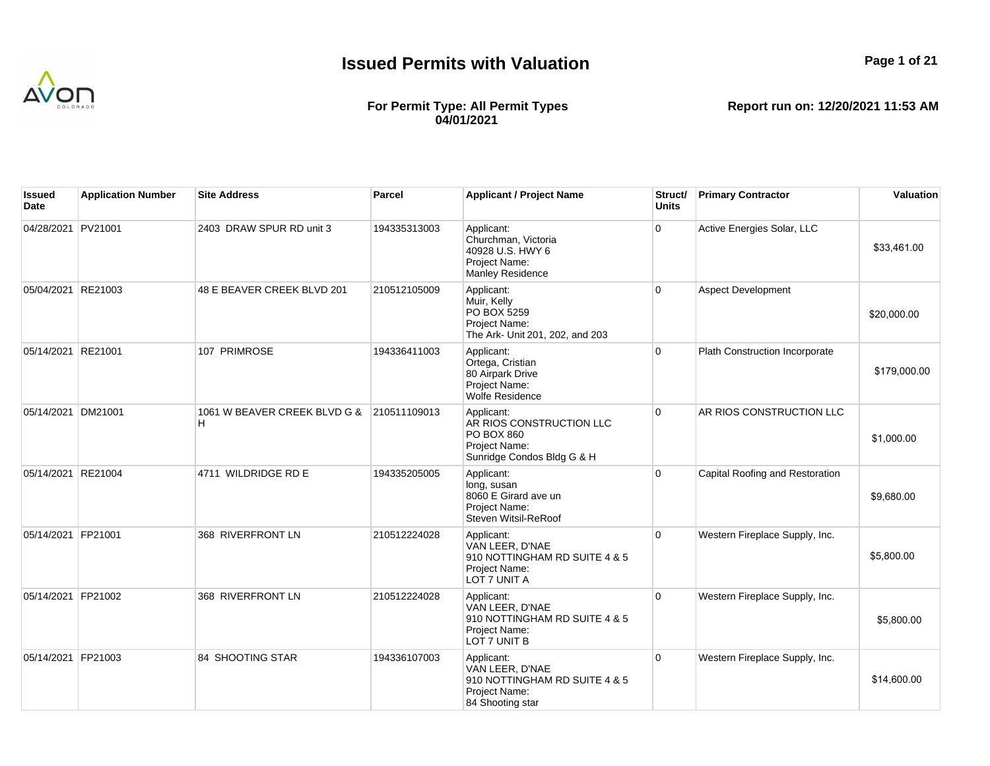

## **For Permit Type: All Permit Types 04/01/2021**

| lssued<br>Date     | <b>Application Number</b> | <b>Site Address</b>               | Parcel       | <b>Applicant / Project Name</b>                                                                     | Struct/<br><b>Units</b> | <b>Primary Contractor</b>       | Valuation    |
|--------------------|---------------------------|-----------------------------------|--------------|-----------------------------------------------------------------------------------------------------|-------------------------|---------------------------------|--------------|
| 04/28/2021 PV21001 |                           | 2403 DRAW SPUR RD unit 3          | 194335313003 | Applicant:<br>Churchman, Victoria<br>40928 U.S. HWY 6<br>Project Name:<br><b>Manley Residence</b>   | $\Omega$                | Active Energies Solar, LLC      | \$33,461.00  |
| 05/04/2021         | RE21003                   | 48 E BEAVER CREEK BLVD 201        | 210512105009 | Applicant:<br>Muir, Kelly<br>PO BOX 5259<br>Project Name:<br>The Ark- Unit 201, 202, and 203        | $\overline{0}$          | <b>Aspect Development</b>       | \$20,000.00  |
| 05/14/2021 RE21001 |                           | 107 PRIMROSE                      | 194336411003 | Applicant:<br>Ortega, Cristian<br>80 Airpark Drive<br>Project Name:<br><b>Wolfe Residence</b>       | $\overline{0}$          | Plath Construction Incorporate  | \$179,000.00 |
| 05/14/2021         | DM21001                   | 1061 W BEAVER CREEK BLVD G &<br>н | 210511109013 | Applicant:<br>AR RIOS CONSTRUCTION LLC<br>PO BOX 860<br>Project Name:<br>Sunridge Condos Bldg G & H | $\Omega$                | AR RIOS CONSTRUCTION LLC        | \$1,000.00   |
| 05/14/2021         | RE21004                   | 4711 WILDRIDGE RD E               | 194335205005 | Applicant:<br>long, susan<br>8060 E Girard ave un<br>Project Name:<br>Steven Witsil-ReRoof          | $\overline{0}$          | Capital Roofing and Restoration | \$9,680.00   |
| 05/14/2021 FP21001 |                           | 368 RIVERFRONT LN                 | 210512224028 | Applicant:<br>VAN LEER, D'NAE<br>910 NOTTINGHAM RD SUITE 4 & 5<br>Project Name:<br>LOT 7 UNIT A     | $\overline{0}$          | Western Fireplace Supply, Inc.  | \$5,800.00   |
| 05/14/2021 FP21002 |                           | 368 RIVERFRONT LN                 | 210512224028 | Applicant:<br>VAN LEER, D'NAE<br>910 NOTTINGHAM RD SUITE 4 & 5<br>Project Name:<br>LOT 7 UNIT B     | $\overline{0}$          | Western Fireplace Supply, Inc.  | \$5,800.00   |
| 05/14/2021 FP21003 |                           | 84 SHOOTING STAR                  | 194336107003 | Applicant:<br>VAN LEER, D'NAE<br>910 NOTTINGHAM RD SUITE 4 & 5<br>Project Name:<br>84 Shooting star | $\overline{0}$          | Western Fireplace Supply, Inc.  | \$14,600.00  |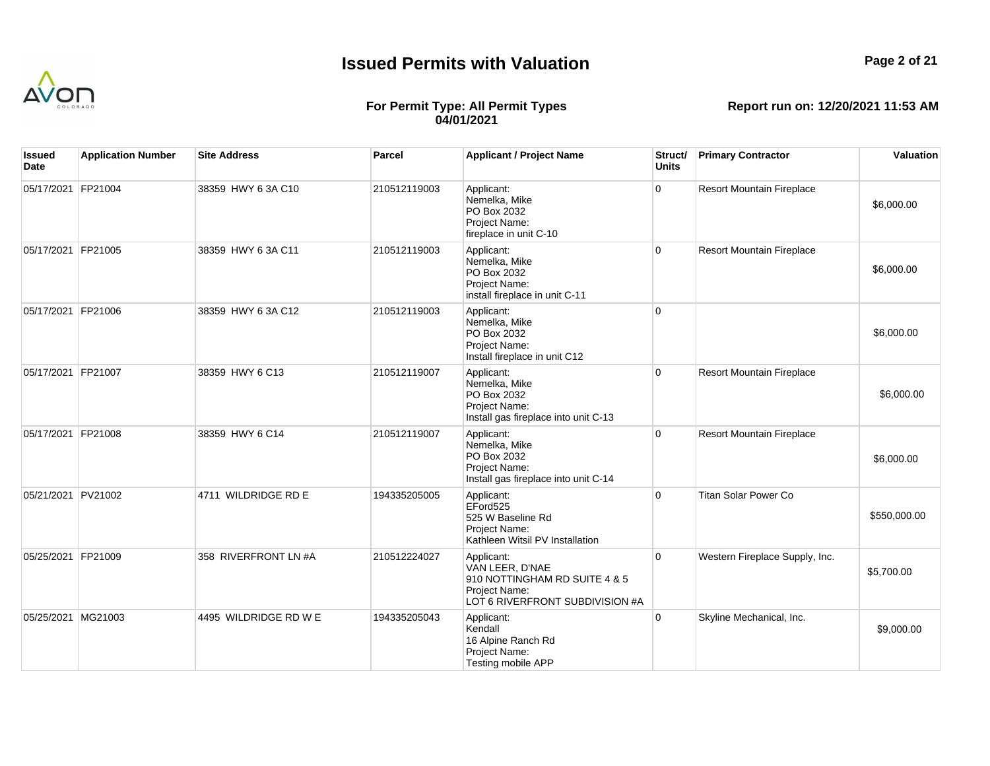

## **For Permit Type: All Permit Types 04/01/2021**

| Issued<br>Date     | <b>Application Number</b> | <b>Site Address</b>   | Parcel       | <b>Applicant / Project Name</b>                                                                                    | Struct/<br><b>Units</b> | <b>Primary Contractor</b>        | Valuation    |
|--------------------|---------------------------|-----------------------|--------------|--------------------------------------------------------------------------------------------------------------------|-------------------------|----------------------------------|--------------|
| 05/17/2021 FP21004 |                           | 38359 HWY 6 3A C10    | 210512119003 | Applicant:<br>Nemelka, Mike<br>PO Box 2032<br>Project Name:<br>fireplace in unit C-10                              | $\overline{0}$          | <b>Resort Mountain Fireplace</b> | \$6,000.00   |
| 05/17/2021 FP21005 |                           | 38359 HWY 6 3A C11    | 210512119003 | Applicant:<br>Nemelka, Mike<br>PO Box 2032<br>Project Name:<br>install fireplace in unit C-11                      | $\overline{0}$          | <b>Resort Mountain Fireplace</b> | \$6,000.00   |
| 05/17/2021 FP21006 |                           | 38359 HWY 6 3A C12    | 210512119003 | Applicant:<br>Nemelka, Mike<br>PO Box 2032<br>Project Name:<br>Install fireplace in unit C12                       | $\overline{0}$          |                                  | \$6,000.00   |
| 05/17/2021 FP21007 |                           | 38359 HWY 6 C13       | 210512119007 | Applicant:<br>Nemelka, Mike<br>PO Box 2032<br>Project Name:<br>Install gas fireplace into unit C-13                | $\overline{0}$          | <b>Resort Mountain Fireplace</b> | \$6,000.00   |
| 05/17/2021 FP21008 |                           | 38359 HWY 6 C14       | 210512119007 | Applicant:<br>Nemelka, Mike<br>PO Box 2032<br>Project Name:<br>Install gas fireplace into unit C-14                | $\overline{0}$          | <b>Resort Mountain Fireplace</b> | \$6,000.00   |
| 05/21/2021 PV21002 |                           | 4711 WILDRIDGE RD E   | 194335205005 | Applicant:<br>EFord525<br>525 W Baseline Rd<br>Project Name:<br>Kathleen Witsil PV Installation                    | $\overline{0}$          | <b>Titan Solar Power Co</b>      | \$550,000.00 |
| 05/25/2021 FP21009 |                           | 358 RIVERFRONT LN #A  | 210512224027 | Applicant:<br>VAN LEER, D'NAE<br>910 NOTTINGHAM RD SUITE 4 & 5<br>Project Name:<br>LOT 6 RIVERFRONT SUBDIVISION #A | $\overline{0}$          | Western Fireplace Supply, Inc.   | \$5,700.00   |
| 05/25/2021 MG21003 |                           | 4495 WILDRIDGE RD W E | 194335205043 | Applicant:<br>Kendall<br>16 Alpine Ranch Rd<br>Project Name:<br>Testing mobile APP                                 | $\overline{0}$          | Skyline Mechanical, Inc.         | \$9,000.00   |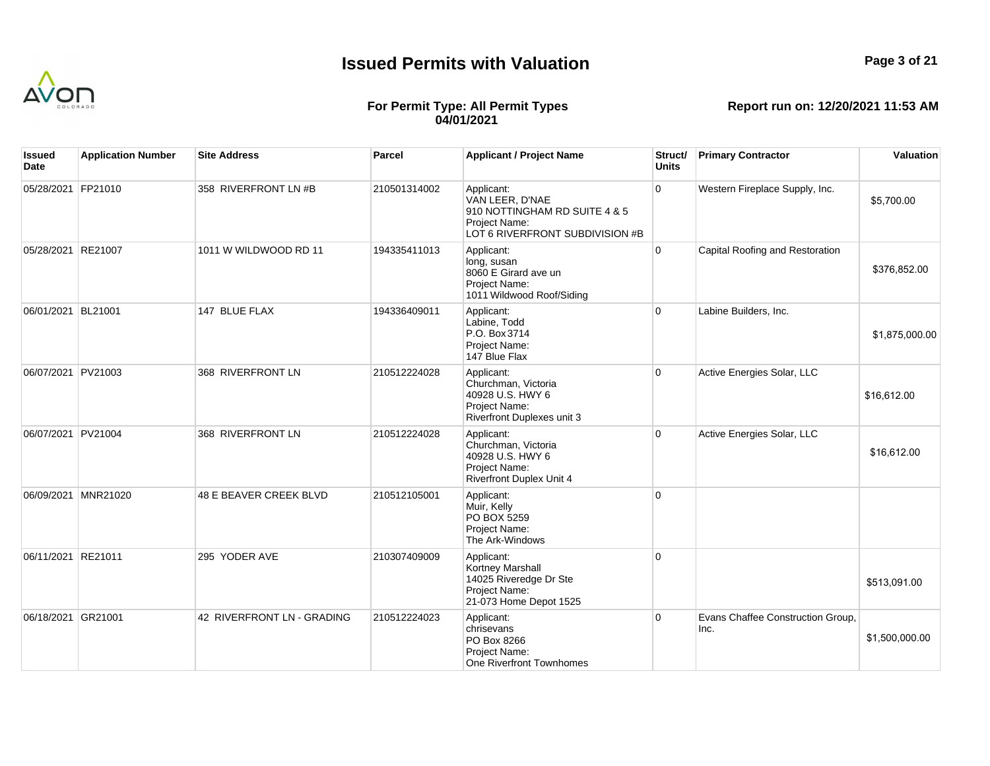

## **For Permit Type: All Permit Types 04/01/2021**

| Issued<br>Date     | <b>Application Number</b> | <b>Site Address</b>        | <b>Parcel</b> | <b>Applicant / Project Name</b>                                                                                    | Struct/<br><b>Units</b> | <b>Primary Contractor</b>                 | Valuation      |
|--------------------|---------------------------|----------------------------|---------------|--------------------------------------------------------------------------------------------------------------------|-------------------------|-------------------------------------------|----------------|
| 05/28/2021 FP21010 |                           | 358 RIVERFRONT LN #B       | 210501314002  | Applicant:<br>VAN LEER, D'NAE<br>910 NOTTINGHAM RD SUITE 4 & 5<br>Project Name:<br>LOT 6 RIVERFRONT SUBDIVISION #B | $\overline{0}$          | Western Fireplace Supply, Inc.            | \$5,700.00     |
| 05/28/2021         | RE21007                   | 1011 W WILDWOOD RD 11      | 194335411013  | Applicant:<br>long, susan<br>8060 E Girard ave un<br>Project Name:<br>1011 Wildwood Roof/Siding                    | $\overline{0}$          | Capital Roofing and Restoration           | \$376,852.00   |
| 06/01/2021 BL21001 |                           | 147 BLUE FLAX              | 194336409011  | Applicant:<br>Labine. Todd<br>P.O. Box 3714<br>Project Name:<br>147 Blue Flax                                      | $\overline{0}$          | Labine Builders, Inc.                     | \$1,875,000.00 |
| 06/07/2021 PV21003 |                           | 368 RIVERFRONT LN          | 210512224028  | Applicant:<br>Churchman, Victoria<br>40928 U.S. HWY 6<br>Project Name:<br>Riverfront Duplexes unit 3               | $\overline{0}$          | Active Energies Solar, LLC                | \$16,612.00    |
| 06/07/2021 PV21004 |                           | 368 RIVERFRONT LN          | 210512224028  | Applicant:<br>Churchman, Victoria<br>40928 U.S. HWY 6<br>Project Name:<br><b>Riverfront Duplex Unit 4</b>          | $\overline{0}$          | Active Energies Solar, LLC                | \$16,612.00    |
| 06/09/2021         | <b>MNR21020</b>           | 48 E BEAVER CREEK BLVD     | 210512105001  | Applicant:<br>Muir, Kelly<br>PO BOX 5259<br>Project Name:<br>The Ark-Windows                                       | $\overline{0}$          |                                           |                |
| 06/11/2021 RE21011 |                           | 295 YODER AVE              | 210307409009  | Applicant:<br><b>Kortney Marshall</b><br>14025 Riveredge Dr Ste<br>Project Name:<br>21-073 Home Depot 1525         | $\overline{0}$          |                                           | \$513,091.00   |
| 06/18/2021 GR21001 |                           | 42 RIVERFRONT LN - GRADING | 210512224023  | Applicant:<br>chrisevans<br>PO Box 8266<br>Project Name:<br>One Riverfront Townhomes                               | $\overline{0}$          | Evans Chaffee Construction Group,<br>Inc. | \$1,500,000.00 |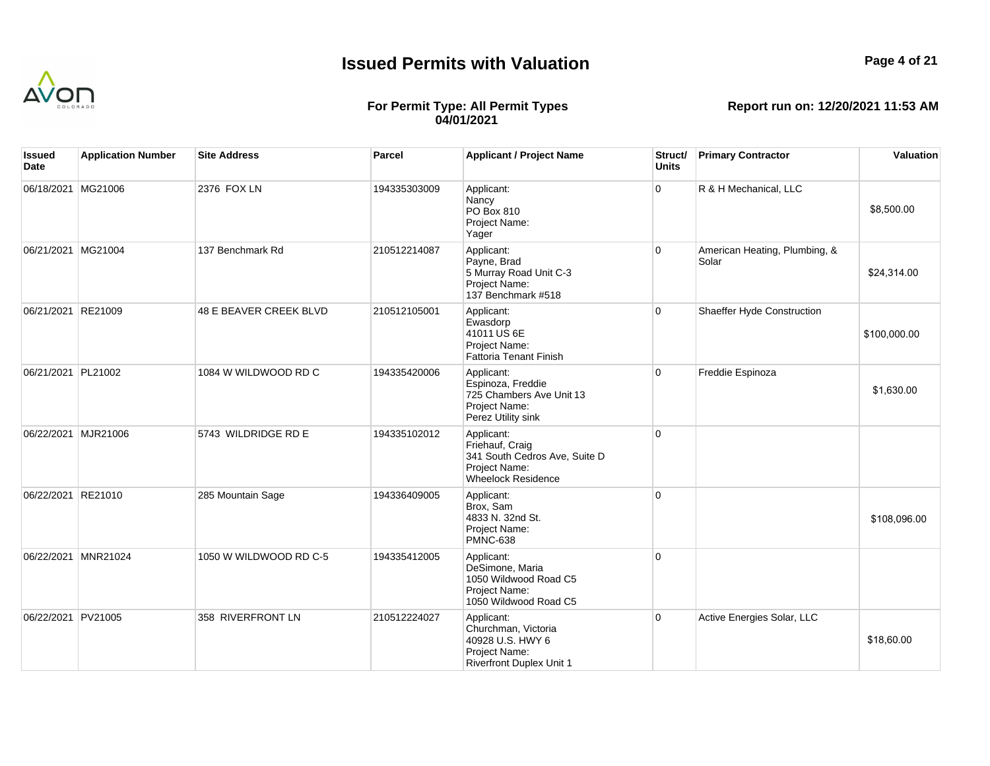

## **For Permit Type: All Permit Types 04/01/2021**

| Issued<br>Date     | <b>Application Number</b> | <b>Site Address</b>    | Parcel       | <b>Applicant / Project Name</b>                                                                              | Struct/<br><b>Units</b> | <b>Primary Contractor</b>              | Valuation    |
|--------------------|---------------------------|------------------------|--------------|--------------------------------------------------------------------------------------------------------------|-------------------------|----------------------------------------|--------------|
| 06/18/2021 MG21006 |                           | 2376 FOX LN            | 194335303009 | Applicant:<br>Nancy<br>PO Box 810<br>Project Name:<br>Yager                                                  | $\mathbf 0$             | R & H Mechanical, LLC                  | \$8,500.00   |
| 06/21/2021 MG21004 |                           | 137 Benchmark Rd       | 210512214087 | Applicant:<br>Payne, Brad<br>5 Murray Road Unit C-3<br>Project Name:<br>137 Benchmark #518                   | $\overline{0}$          | American Heating, Plumbing, &<br>Solar | \$24,314.00  |
| 06/21/2021 RE21009 |                           | 48 E BEAVER CREEK BLVD | 210512105001 | Applicant:<br>Ewasdorp<br>41011 US 6E<br>Project Name:<br><b>Fattoria Tenant Finish</b>                      | $\Omega$                | Shaeffer Hyde Construction             | \$100,000.00 |
| 06/21/2021 PL21002 |                           | 1084 W WILDWOOD RD C   | 194335420006 | Applicant:<br>Espinoza, Freddie<br>725 Chambers Ave Unit 13<br>Project Name:<br>Perez Utility sink           | $\overline{0}$          | Freddie Espinoza                       | \$1,630.00   |
|                    | 06/22/2021 MJR21006       | 5743 WILDRIDGE RD E    | 194335102012 | Applicant:<br>Friehauf, Craig<br>341 South Cedros Ave, Suite D<br>Project Name:<br><b>Wheelock Residence</b> | $\overline{0}$          |                                        |              |
| 06/22/2021 RE21010 |                           | 285 Mountain Sage      | 194336409005 | Applicant:<br>Brox, Sam<br>4833 N. 32nd St.<br>Project Name:<br><b>PMNC-638</b>                              | $\overline{0}$          |                                        | \$108,096.00 |
| 06/22/2021         | MNR21024                  | 1050 W WILDWOOD RD C-5 | 194335412005 | Applicant:<br>DeSimone, Maria<br>1050 Wildwood Road C5<br>Project Name:<br>1050 Wildwood Road C5             | $\Omega$                |                                        |              |
| 06/22/2021 PV21005 |                           | 358 RIVERFRONT LN      | 210512224027 | Applicant:<br>Churchman, Victoria<br>40928 U.S. HWY 6<br>Project Name:<br><b>Riverfront Duplex Unit 1</b>    | $\overline{0}$          | Active Energies Solar, LLC             | \$18,60.00   |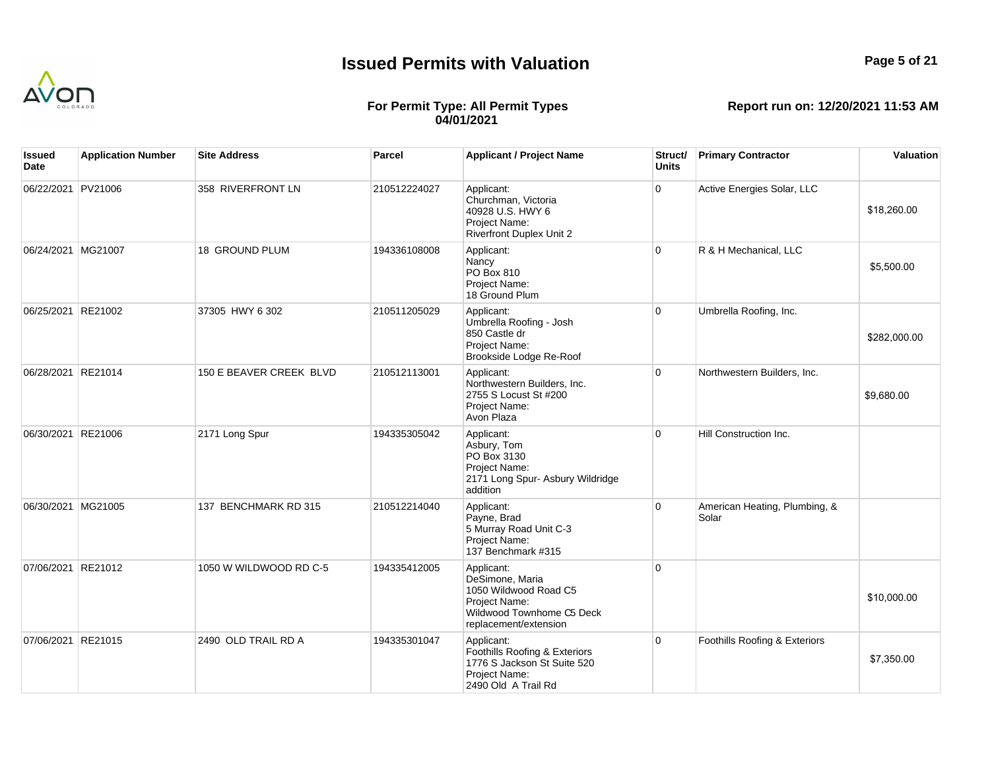

## **For Permit Type: All Permit Types 04/01/2021**

| Issued<br>Date     | <b>Application Number</b> | <b>Site Address</b>     | Parcel       | <b>Applicant / Project Name</b>                                                                                               | Struct/<br><b>Units</b> | <b>Primary Contractor</b>              | Valuation    |
|--------------------|---------------------------|-------------------------|--------------|-------------------------------------------------------------------------------------------------------------------------------|-------------------------|----------------------------------------|--------------|
| 06/22/2021 PV21006 |                           | 358 RIVERFRONT LN       | 210512224027 | Applicant:<br>Churchman, Victoria<br>40928 U.S. HWY 6<br>Project Name:<br><b>Riverfront Duplex Unit 2</b>                     | $\overline{0}$          | Active Energies Solar, LLC             | \$18,260.00  |
| 06/24/2021 MG21007 |                           | <b>18 GROUND PLUM</b>   | 194336108008 | Applicant:<br>Nancy<br>PO Box 810<br>Project Name:<br>18 Ground Plum                                                          | $\overline{0}$          | R & H Mechanical, LLC                  | \$5,500.00   |
| 06/25/2021 RE21002 |                           | 37305 HWY 6 302         | 210511205029 | Applicant:<br>Umbrella Roofing - Josh<br>850 Castle dr<br>Project Name:<br>Brookside Lodge Re-Roof                            | $\overline{0}$          | Umbrella Roofing, Inc.                 | \$282,000.00 |
| 06/28/2021 RE21014 |                           | 150 E BEAVER CREEK BLVD | 210512113001 | Applicant:<br>Northwestern Builders, Inc.<br>2755 S Locust St #200<br>Project Name:<br>Avon Plaza                             | $\Omega$                | Northwestern Builders, Inc.            | \$9,680.00   |
| 06/30/2021 RE21006 |                           | 2171 Long Spur          | 194335305042 | Applicant:<br>Asbury, Tom<br>PO Box 3130<br>Project Name:<br>2171 Long Spur- Asbury Wildridge<br>addition                     | $\overline{0}$          | Hill Construction Inc.                 |              |
| 06/30/2021 MG21005 |                           | 137 BENCHMARK RD 315    | 210512214040 | Applicant:<br>Payne, Brad<br>5 Murray Road Unit C-3<br>Project Name:<br>137 Benchmark #315                                    | $\overline{0}$          | American Heating, Plumbing, &<br>Solar |              |
| 07/06/2021 RE21012 |                           | 1050 W WILDWOOD RD C-5  | 194335412005 | Applicant:<br>DeSimone, Maria<br>1050 Wildwood Road C5<br>Project Name:<br>Wildwood Townhome C5 Deck<br>replacement/extension | $\overline{0}$          |                                        | \$10,000.00  |
| 07/06/2021 RE21015 |                           | 2490 OLD TRAIL RD A     | 194335301047 | Applicant:<br>Foothills Roofing & Exteriors<br>1776 S Jackson St Suite 520<br>Project Name:<br>2490 Old A Trail Rd            | $\overline{0}$          | Foothills Roofing & Exteriors          | \$7,350.00   |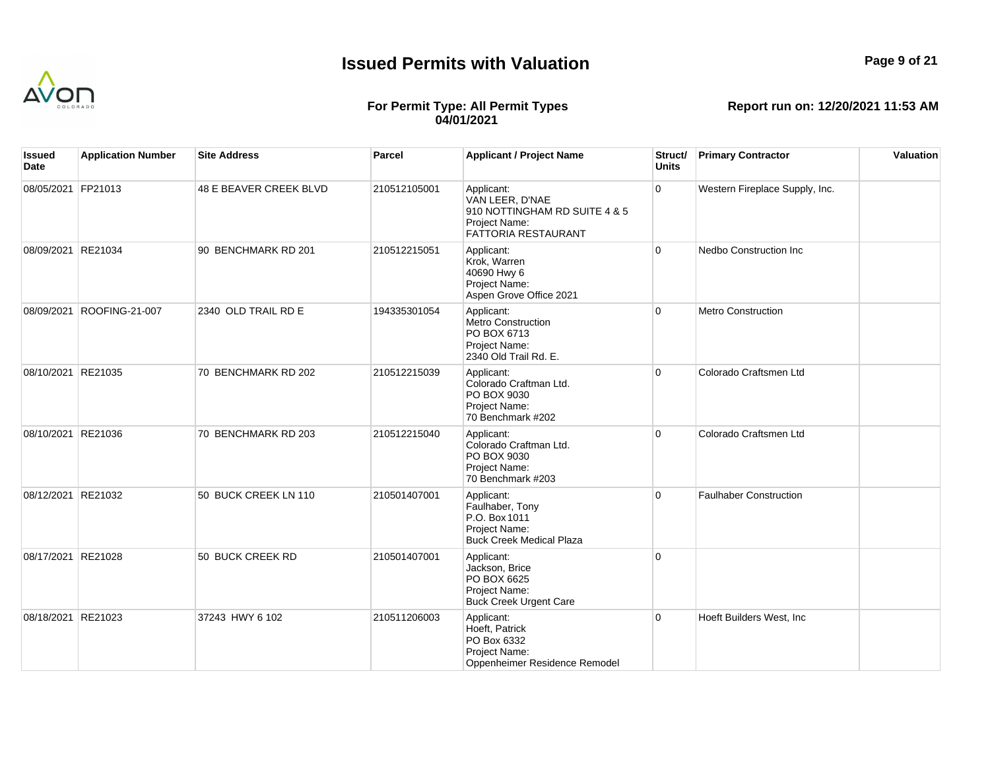

## **Page 9 of 21**

## **For Permit Type: All Permit Types 04/01/2021**

| lssued<br>Date     | <b>Application Number</b> | <b>Site Address</b>    | Parcel       | <b>Applicant / Project Name</b>                                                                        | Struct/<br><b>Units</b> | <b>Primary Contractor</b>      | Valuation |
|--------------------|---------------------------|------------------------|--------------|--------------------------------------------------------------------------------------------------------|-------------------------|--------------------------------|-----------|
| 08/05/2021 FP21013 |                           | 48 E BEAVER CREEK BLVD | 210512105001 | Applicant:<br>VAN LEER, D'NAE<br>910 NOTTINGHAM RD SUITE 4 & 5<br>Project Name:<br>FATTORIA RESTAURANT | $\overline{0}$          | Western Fireplace Supply, Inc. |           |
| 08/09/2021 RE21034 |                           | 90 BENCHMARK RD 201    | 210512215051 | Applicant:<br>Krok, Warren<br>40690 Hwy 6<br>Project Name:<br>Aspen Grove Office 2021                  | $\overline{0}$          | Nedbo Construction Inc         |           |
| 08/09/2021         | ROOFING-21-007            | 2340 OLD TRAIL RD E    | 194335301054 | Applicant:<br><b>Metro Construction</b><br>PO BOX 6713<br>Project Name:<br>2340 Old Trail Rd. E.       | $\overline{0}$          | <b>Metro Construction</b>      |           |
| 08/10/2021 RE21035 |                           | 70 BENCHMARK RD 202    | 210512215039 | Applicant:<br>Colorado Craftman Ltd.<br>PO BOX 9030<br>Project Name:<br>70 Benchmark #202              | $\overline{0}$          | Colorado Craftsmen Ltd         |           |
| 08/10/2021 RE21036 |                           | 70 BENCHMARK RD 203    | 210512215040 | Applicant:<br>Colorado Craftman Ltd.<br>PO BOX 9030<br>Project Name:<br>70 Benchmark #203              | $\Omega$                | Colorado Craftsmen Ltd         |           |
| 08/12/2021 RE21032 |                           | 50 BUCK CREEK LN 110   | 210501407001 | Applicant:<br>Faulhaber, Tony<br>P.O. Box 1011<br>Project Name:<br><b>Buck Creek Medical Plaza</b>     | $\overline{0}$          | <b>Faulhaber Construction</b>  |           |
| 08/17/2021 RE21028 |                           | 50 BUCK CREEK RD       | 210501407001 | Applicant:<br>Jackson, Brice<br>PO BOX 6625<br>Project Name:<br><b>Buck Creek Urgent Care</b>          | $\overline{0}$          |                                |           |
| 08/18/2021 RE21023 |                           | 37243 HWY 6 102        | 210511206003 | Applicant:<br>Hoeft, Patrick<br>PO Box 6332<br>Project Name:<br>Oppenheimer Residence Remodel          | $\overline{0}$          | Hoeft Builders West, Inc       |           |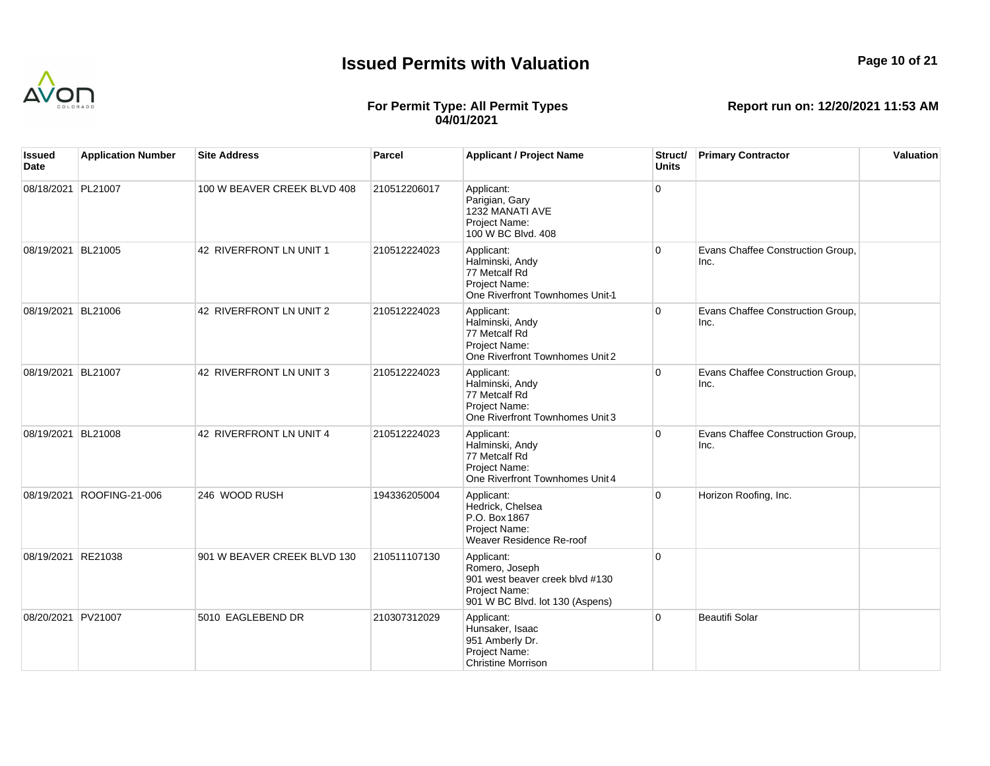

# **Page 10 of 21**

## **For Permit Type: All Permit Types 04/01/2021**

| Issued<br>Date     | <b>Application Number</b> | <b>Site Address</b>         | <b>Parcel</b> | <b>Applicant / Project Name</b>                                                                                     | Struct/<br><b>Units</b> | <b>Primary Contractor</b>                 | Valuation |
|--------------------|---------------------------|-----------------------------|---------------|---------------------------------------------------------------------------------------------------------------------|-------------------------|-------------------------------------------|-----------|
| 08/18/2021 PL21007 |                           | 100 W BEAVER CREEK BLVD 408 | 210512206017  | Applicant:<br>Parigian, Gary<br>1232 MANATI AVE<br>Project Name:<br>100 W BC Blvd. 408                              | $\Omega$                |                                           |           |
| 08/19/2021 BL21005 |                           | 42 RIVERFRONT LN UNIT 1     | 210512224023  | Applicant:<br>Halminski, Andy<br>77 Metcalf Rd<br>Project Name:<br>One Riverfront Townhomes Unit-1                  | $\overline{0}$          | Evans Chaffee Construction Group,<br>Inc. |           |
| 08/19/2021 BL21006 |                           | 42 RIVERFRONT LN UNIT 2     | 210512224023  | Applicant:<br>Halminski, Andy<br>77 Metcalf Rd<br>Project Name:<br>One Riverfront Townhomes Unit 2                  | $\overline{0}$          | Evans Chaffee Construction Group,<br>Inc. |           |
| 08/19/2021 BL21007 |                           | 42 RIVERFRONT LN UNIT 3     | 210512224023  | Applicant:<br>Halminski, Andy<br>77 Metcalf Rd<br>Project Name:<br>One Riverfront Townhomes Unit 3                  | $\overline{0}$          | Evans Chaffee Construction Group,<br>Inc. |           |
| 08/19/2021 BL21008 |                           | 42 RIVERFRONT LN UNIT 4     | 210512224023  | Applicant:<br>Halminski, Andy<br>77 Metcalf Rd<br>Project Name:<br>One Riverfront Townhomes Unit 4                  | $\overline{0}$          | Evans Chaffee Construction Group,<br>Inc. |           |
| 08/19/2021         | ROOFING-21-006            | 246 WOOD RUSH               | 194336205004  | Applicant:<br>Hedrick, Chelsea<br>P.O. Box 1867<br>Project Name:<br>Weaver Residence Re-roof                        | 0                       | Horizon Roofing, Inc.                     |           |
| 08/19/2021 RE21038 |                           | 901 W BEAVER CREEK BLVD 130 | 210511107130  | Applicant:<br>Romero, Joseph<br>901 west beaver creek blvd #130<br>Project Name:<br>901 W BC Blvd. lot 130 (Aspens) | $\overline{0}$          |                                           |           |
| 08/20/2021 PV21007 |                           | 5010 EAGLEBEND DR           | 210307312029  | Applicant:<br>Hunsaker, Isaac<br>951 Amberly Dr.<br>Project Name:<br><b>Christine Morrison</b>                      | $\overline{0}$          | <b>Beautifi Solar</b>                     |           |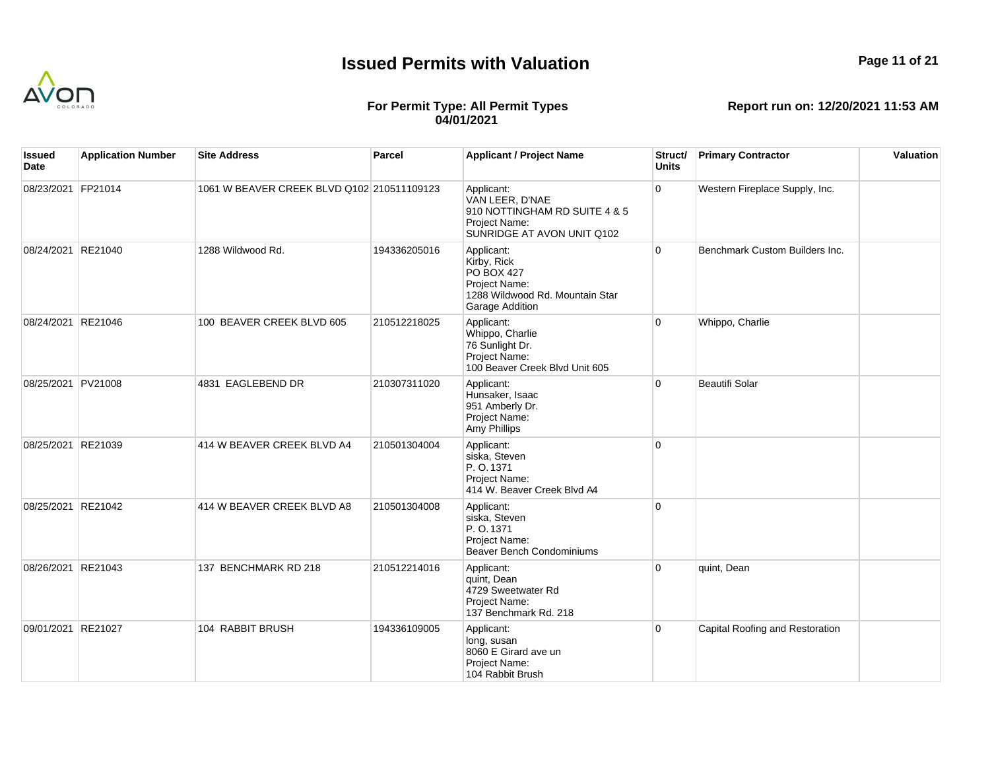

## **Page 11 of 21**

## **For Permit Type: All Permit Types 04/01/2021**

| lssued<br>Date     | <b>Application Number</b> | <b>Site Address</b>                        | Parcel       | <b>Applicant / Project Name</b>                                                                                              | Struct/<br><b>Units</b> | <b>Primary Contractor</b>       | Valuation |
|--------------------|---------------------------|--------------------------------------------|--------------|------------------------------------------------------------------------------------------------------------------------------|-------------------------|---------------------------------|-----------|
| 08/23/2021 FP21014 |                           | 1061 W BEAVER CREEK BLVD Q102 210511109123 |              | Applicant:<br>VAN LEER, D'NAE<br>910 NOTTINGHAM RD SUITE 4 & 5<br>Project Name:<br>SUNRIDGE AT AVON UNIT Q102                | $\overline{0}$          | Western Fireplace Supply, Inc.  |           |
| 08/24/2021         | RE21040                   | 1288 Wildwood Rd.                          | 194336205016 | Applicant:<br>Kirby, Rick<br><b>PO BOX 427</b><br>Project Name:<br>1288 Wildwood Rd. Mountain Star<br><b>Garage Addition</b> | $\overline{0}$          | Benchmark Custom Builders Inc.  |           |
| 08/24/2021 RE21046 |                           | 100 BEAVER CREEK BLVD 605                  | 210512218025 | Applicant:<br>Whippo, Charlie<br>76 Sunlight Dr.<br>Project Name:<br>100 Beaver Creek Blvd Unit 605                          | $\overline{0}$          | Whippo, Charlie                 |           |
| 08/25/2021 PV21008 |                           | 4831 EAGLEBEND DR                          | 210307311020 | Applicant:<br>Hunsaker, Isaac<br>951 Amberly Dr.<br>Project Name:<br>Amy Phillips                                            | $\overline{0}$          | <b>Beautifi Solar</b>           |           |
| 08/25/2021 RE21039 |                           | 414 W BEAVER CREEK BLVD A4                 | 210501304004 | Applicant:<br>siska, Steven<br>P.O.1371<br>Project Name:<br>414 W. Beaver Creek Blvd A4                                      | $\overline{0}$          |                                 |           |
| 08/25/2021 RE21042 |                           | 414 W BEAVER CREEK BLVD A8                 | 210501304008 | Applicant:<br>siska, Steven<br>P. O. 1371<br>Project Name:<br><b>Beaver Bench Condominiums</b>                               | $\overline{0}$          |                                 |           |
| 08/26/2021 RE21043 |                           | 137 BENCHMARK RD 218                       | 210512214016 | Applicant:<br>quint, Dean<br>4729 Sweetwater Rd<br>Project Name:<br>137 Benchmark Rd. 218                                    | $\overline{0}$          | quint, Dean                     |           |
| 09/01/2021 RE21027 |                           | 104 RABBIT BRUSH                           | 194336109005 | Applicant:<br>long, susan<br>8060 E Girard ave un<br>Project Name:<br>104 Rabbit Brush                                       | 0                       | Capital Roofing and Restoration |           |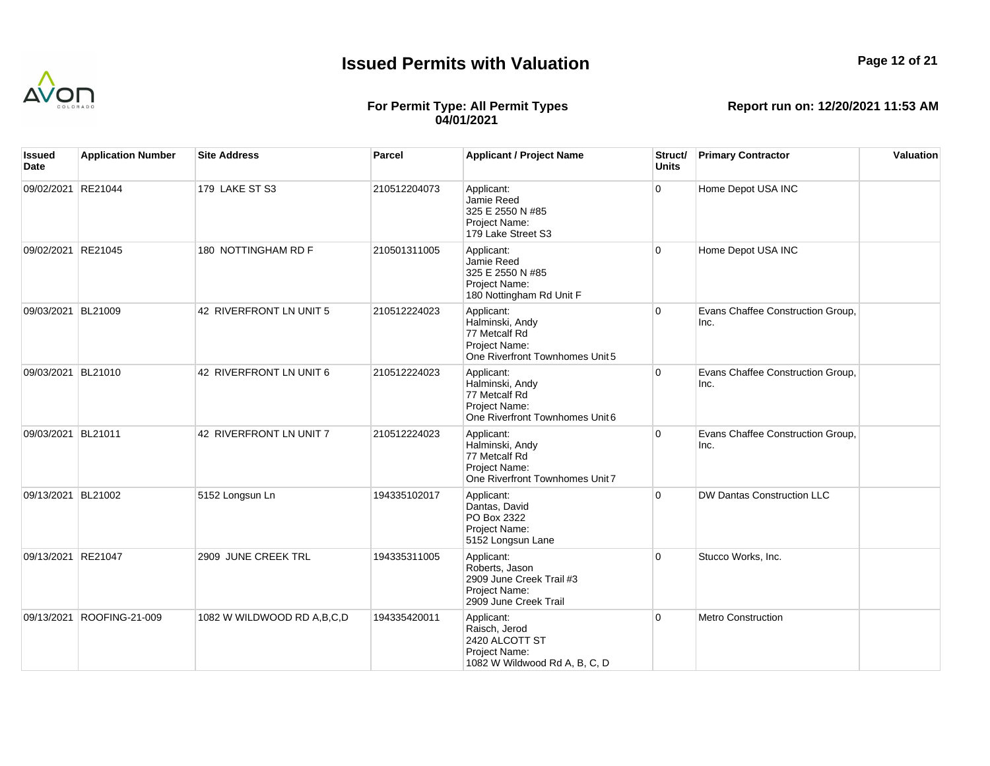

## **For Permit Type: All Permit Types 04/01/2021**

**Report run on: 12/20/2021 11:53 AM**

| Issued<br>Date     | <b>Application Number</b> | <b>Site Address</b>        | Parcel       | <b>Applicant / Project Name</b>                                                                    | Struct/<br><b>Units</b> | <b>Primary Contractor</b>                 | Valuation |
|--------------------|---------------------------|----------------------------|--------------|----------------------------------------------------------------------------------------------------|-------------------------|-------------------------------------------|-----------|
| 09/02/2021 RE21044 |                           | 179 LAKE ST S3             | 210512204073 | Applicant:<br>Jamie Reed<br>325 E 2550 N #85<br>Project Name:<br>179 Lake Street S3                | 0                       | Home Depot USA INC                        |           |
| 09/02/2021 RE21045 |                           | 180 NOTTINGHAM RD F        | 210501311005 | Applicant:<br>Jamie Reed<br>325 E 2550 N #85<br>Project Name:<br>180 Nottingham Rd Unit F          | $\Omega$                | Home Depot USA INC                        |           |
| 09/03/2021 BL21009 |                           | 42 RIVERFRONT LN UNIT 5    | 210512224023 | Applicant:<br>Halminski, Andy<br>77 Metcalf Rd<br>Project Name:<br>One Riverfront Townhomes Unit 5 | $\Omega$                | Evans Chaffee Construction Group,<br>Inc. |           |
| 09/03/2021 BL21010 |                           | 42 RIVERFRONT LN UNIT 6    | 210512224023 | Applicant:<br>Halminski, Andy<br>77 Metcalf Rd<br>Project Name:<br>One Riverfront Townhomes Unit 6 | $\Omega$                | Evans Chaffee Construction Group,<br>Inc. |           |
| 09/03/2021 BL21011 |                           | 42 RIVERFRONT LN UNIT 7    | 210512224023 | Applicant:<br>Halminski, Andy<br>77 Metcalf Rd<br>Project Name:<br>One Riverfront Townhomes Unit 7 | $\Omega$                | Evans Chaffee Construction Group,<br>Inc. |           |
| 09/13/2021 BL21002 |                           | 5152 Longsun Ln            | 194335102017 | Applicant:<br>Dantas, David<br>PO Box 2322<br>Project Name:<br>5152 Longsun Lane                   | $\Omega$                | DW Dantas Construction LLC                |           |
| 09/13/2021 RE21047 |                           | 2909 JUNE CREEK TRL        | 194335311005 | Applicant:<br>Roberts, Jason<br>2909 June Creek Trail #3<br>Project Name:<br>2909 June Creek Trail | $\Omega$                | Stucco Works, Inc.                        |           |
|                    | 09/13/2021 ROOFING-21-009 | 1082 W WILDWOOD RD A,B,C,D | 194335420011 | Applicant:<br>Raisch, Jerod<br>2420 ALCOTT ST<br>Project Name:<br>1082 W Wildwood Rd A, B, C, D    | $\Omega$                | <b>Metro Construction</b>                 |           |

**Page 12 of 21**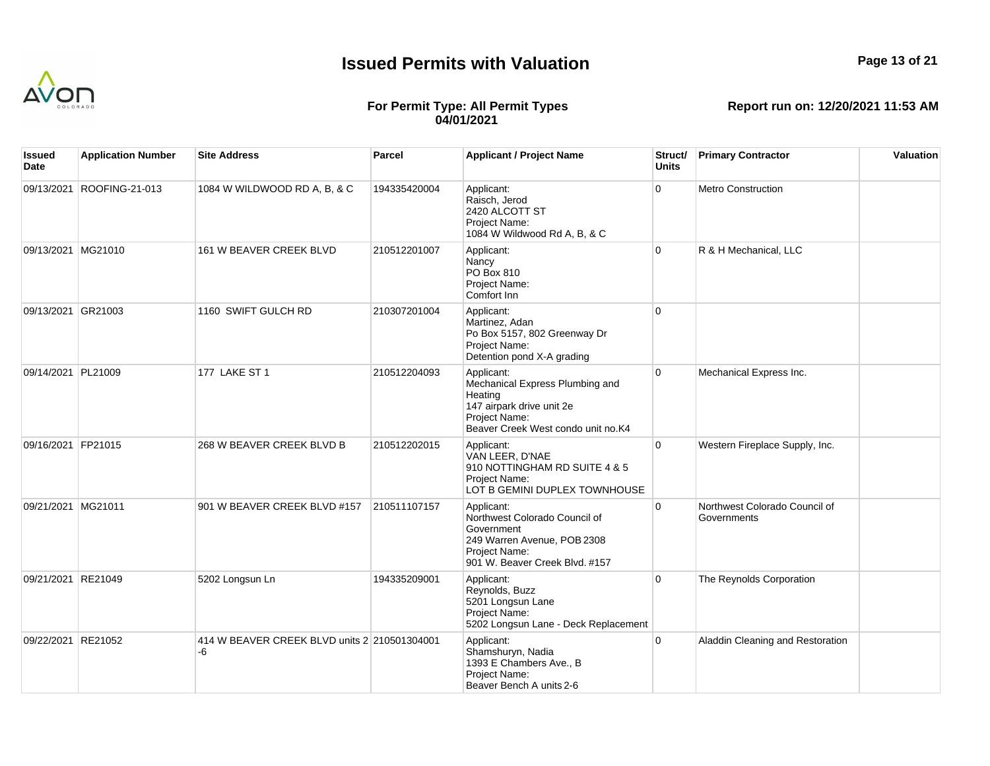

## **Page 13 of 21**

## **For Permit Type: All Permit Types 04/01/2021**

| Issued<br>Date     | <b>Application Number</b> | <b>Site Address</b>                                | Parcel       | <b>Applicant / Project Name</b>                                                                                                              | Struct/<br><b>Units</b> | <b>Primary Contractor</b>                    | Valuation |
|--------------------|---------------------------|----------------------------------------------------|--------------|----------------------------------------------------------------------------------------------------------------------------------------------|-------------------------|----------------------------------------------|-----------|
| 09/13/2021         | ROOFING-21-013            | 1084 W WILDWOOD RD A, B, & C                       | 194335420004 | Applicant:<br>Raisch, Jerod<br>2420 ALCOTT ST<br>Project Name:<br>1084 W Wildwood Rd A, B, & C                                               | $\overline{0}$          | Metro Construction                           |           |
| 09/13/2021 MG21010 |                           | 161 W BEAVER CREEK BLVD                            | 210512201007 | Applicant:<br>Nancy<br>PO Box 810<br>Project Name:<br>Comfort Inn                                                                            | $\overline{0}$          | R & H Mechanical, LLC                        |           |
| 09/13/2021 GR21003 |                           | 1160 SWIFT GULCH RD                                | 210307201004 | Applicant:<br>Martinez, Adan<br>Po Box 5157, 802 Greenway Dr<br>Project Name:<br>Detention pond X-A grading                                  | $\overline{0}$          |                                              |           |
| 09/14/2021 PL21009 |                           | <b>177 LAKE ST 1</b>                               | 210512204093 | Applicant:<br>Mechanical Express Plumbing and<br>Heating<br>147 airpark drive unit 2e<br>Project Name:<br>Beaver Creek West condo unit no.K4 | 0                       | Mechanical Express Inc.                      |           |
| 09/16/2021 FP21015 |                           | 268 W BEAVER CREEK BLVD B                          | 210512202015 | Applicant:<br>VAN LEER, D'NAE<br>910 NOTTINGHAM RD SUITE 4 & 5<br>Project Name:<br>LOT B GEMINI DUPLEX TOWNHOUSE                             | $\overline{0}$          | Western Fireplace Supply, Inc.               |           |
| 09/21/2021 MG21011 |                           | 901 W BEAVER CREEK BLVD #157                       | 210511107157 | Applicant:<br>Northwest Colorado Council of<br>Government<br>249 Warren Avenue, POB 2308<br>Project Name:<br>901 W. Beaver Creek Blvd. #157  | $\Omega$                | Northwest Colorado Council of<br>Governments |           |
| 09/21/2021 RE21049 |                           | 5202 Longsun Ln                                    | 194335209001 | Applicant:<br>Reynolds, Buzz<br>5201 Longsun Lane<br>Project Name:<br>5202 Longsun Lane - Deck Replacement                                   | $\overline{0}$          | The Reynolds Corporation                     |           |
| 09/22/2021 RE21052 |                           | 414 W BEAVER CREEK BLVD units 2 210501304001<br>-6 |              | Applicant:<br>Shamshuryn, Nadia<br>1393 E Chambers Ave., B<br>Project Name:<br>Beaver Bench A units 2-6                                      | $\overline{0}$          | Aladdin Cleaning and Restoration             |           |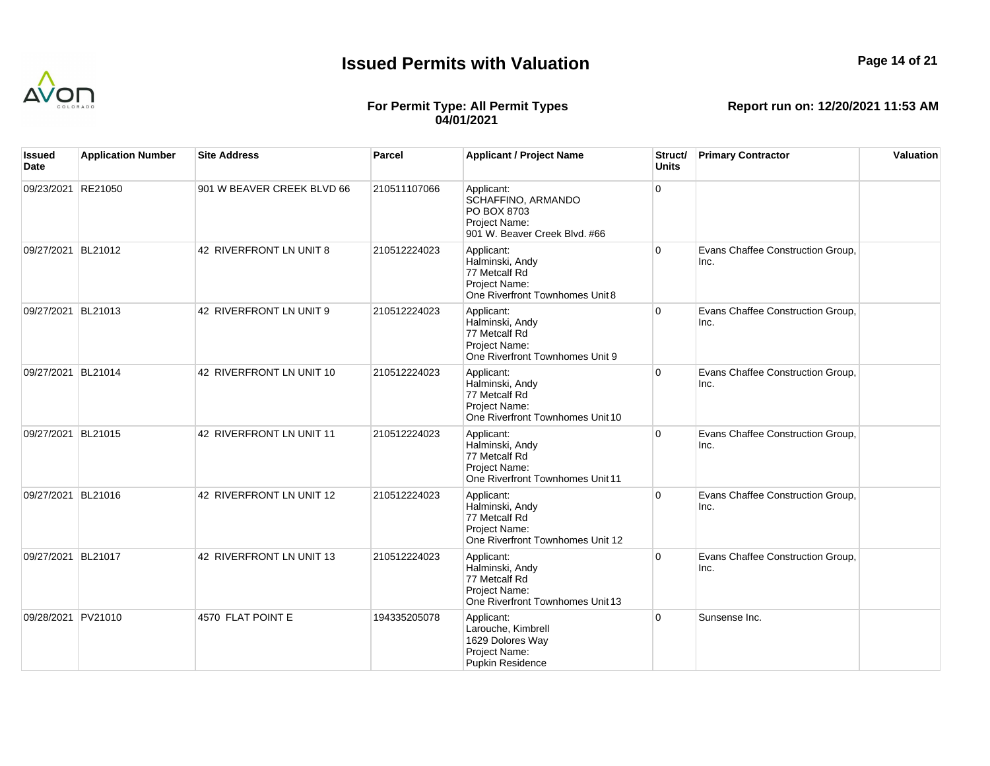

## **Page 14 of 21**

## **For Permit Type: All Permit Types 04/01/2021**

| Issued<br>Date     | <b>Application Number</b> | <b>Site Address</b>        | <b>Parcel</b> | <b>Applicant / Project Name</b>                                                                     | Struct/<br><b>Units</b> | <b>Primary Contractor</b>                 | Valuation |
|--------------------|---------------------------|----------------------------|---------------|-----------------------------------------------------------------------------------------------------|-------------------------|-------------------------------------------|-----------|
| 09/23/2021 RE21050 |                           | 901 W BEAVER CREEK BLVD 66 | 210511107066  | Applicant:<br>SCHAFFINO, ARMANDO<br>PO BOX 8703<br>Project Name:<br>901 W. Beaver Creek Blvd. #66   | $\Omega$                |                                           |           |
| 09/27/2021 BL21012 |                           | 42 RIVERFRONT LN UNIT 8    | 210512224023  | Applicant:<br>Halminski, Andy<br>77 Metcalf Rd<br>Project Name:<br>One Riverfront Townhomes Unit 8  | $\overline{0}$          | Evans Chaffee Construction Group,<br>Inc. |           |
| 09/27/2021 BL21013 |                           | 42 RIVERFRONT LN UNIT 9    | 210512224023  | Applicant:<br>Halminski, Andy<br>77 Metcalf Rd<br>Project Name:<br>One Riverfront Townhomes Unit 9  | $\overline{0}$          | Evans Chaffee Construction Group,<br>Inc. |           |
| 09/27/2021 BL21014 |                           | 42 RIVERFRONT LN UNIT 10   | 210512224023  | Applicant:<br>Halminski, Andy<br>77 Metcalf Rd<br>Project Name:<br>One Riverfront Townhomes Unit 10 | $\overline{0}$          | Evans Chaffee Construction Group,<br>Inc. |           |
| 09/27/2021 BL21015 |                           | 42 RIVERFRONT LN UNIT 11   | 210512224023  | Applicant:<br>Halminski, Andy<br>77 Metcalf Rd<br>Project Name:<br>One Riverfront Townhomes Unit 11 | $\Omega$                | Evans Chaffee Construction Group,<br>Inc. |           |
| 09/27/2021 BL21016 |                           | 42 RIVERFRONT LN UNIT 12   | 210512224023  | Applicant:<br>Halminski, Andy<br>77 Metcalf Rd<br>Project Name:<br>One Riverfront Townhomes Unit 12 | $\overline{0}$          | Evans Chaffee Construction Group,<br>Inc. |           |
| 09/27/2021 BL21017 |                           | 42 RIVERFRONT LN UNIT 13   | 210512224023  | Applicant:<br>Halminski, Andy<br>77 Metcalf Rd<br>Project Name:<br>One Riverfront Townhomes Unit 13 | $\overline{0}$          | Evans Chaffee Construction Group,<br>Inc. |           |
| 09/28/2021 PV21010 |                           | 4570 FLAT POINT E          | 194335205078  | Applicant:<br>Larouche, Kimbrell<br>1629 Dolores Way<br>Project Name:<br><b>Pupkin Residence</b>    | $\overline{0}$          | Sunsense Inc.                             |           |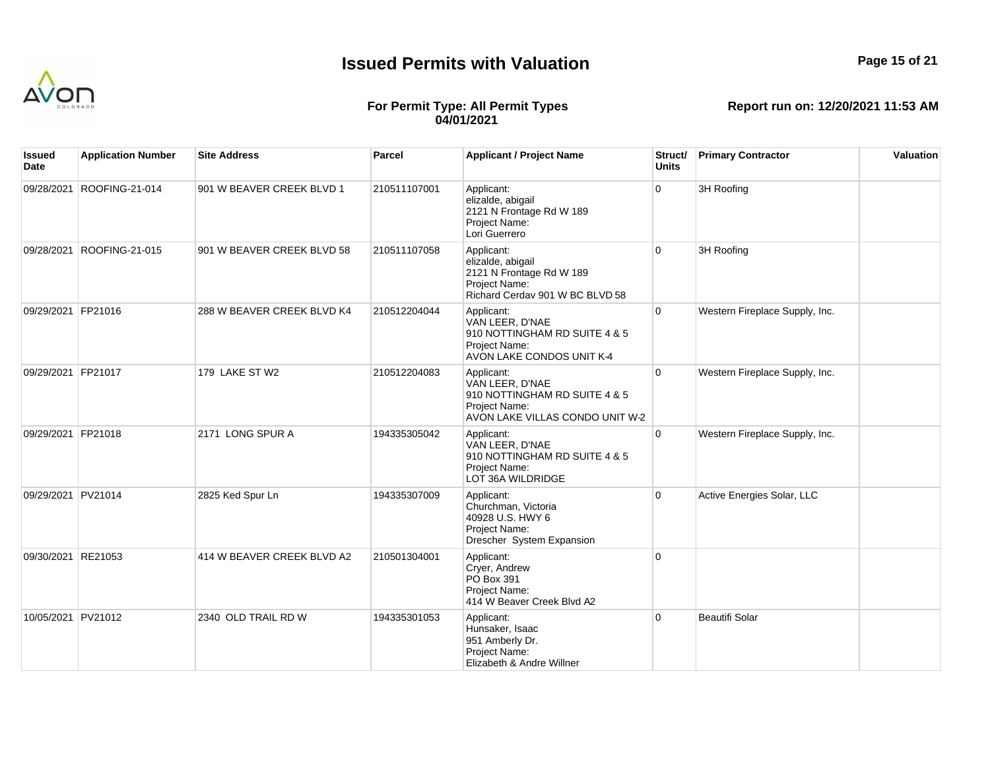

## **Page 15 of 21**

## **For Permit Type: All Permit Types 04/01/2021**

| Issued<br>Date     | <b>Application Number</b> | <b>Site Address</b>        | <b>Parcel</b> | <b>Applicant / Project Name</b>                                                                                    | Struct/<br><b>Units</b> | <b>Primary Contractor</b>      | Valuation |
|--------------------|---------------------------|----------------------------|---------------|--------------------------------------------------------------------------------------------------------------------|-------------------------|--------------------------------|-----------|
| 09/28/2021         | ROOFING-21-014            | 901 W BEAVER CREEK BLVD 1  | 210511107001  | Applicant:<br>elizalde, abigail<br>2121 N Frontage Rd W 189<br>Project Name:<br>Lori Guerrero                      | 0                       | 3H Roofing                     |           |
| 09/28/2021         | ROOFING-21-015            | 901 W BEAVER CREEK BLVD 58 | 210511107058  | Applicant:<br>elizalde, abigail<br>2121 N Frontage Rd W 189<br>Project Name:<br>Richard Cerday 901 W BC BLVD 58    | $\overline{0}$          | 3H Roofing                     |           |
| 09/29/2021 FP21016 |                           | 288 W BEAVER CREEK BLVD K4 | 210512204044  | Applicant:<br>VAN LEER, D'NAE<br>910 NOTTINGHAM RD SUITE 4 & 5<br>Project Name:<br>AVON LAKE CONDOS UNIT K-4       | $\overline{0}$          | Western Fireplace Supply, Inc. |           |
| 09/29/2021 FP21017 |                           | 179 LAKE ST W2             | 210512204083  | Applicant:<br>VAN LEER, D'NAE<br>910 NOTTINGHAM RD SUITE 4 & 5<br>Project Name:<br>AVON LAKE VILLAS CONDO UNIT W-2 | $\overline{0}$          | Western Fireplace Supply, Inc. |           |
| 09/29/2021 FP21018 |                           | 2171 LONG SPUR A           | 194335305042  | Applicant:<br>VAN LEER, D'NAE<br>910 NOTTINGHAM RD SUITE 4 & 5<br>Project Name:<br>LOT 36A WILDRIDGE               | $\overline{0}$          | Western Fireplace Supply, Inc. |           |
| 09/29/2021 PV21014 |                           | 2825 Ked Spur Ln           | 194335307009  | Applicant:<br>Churchman, Victoria<br>40928 U.S. HWY 6<br>Project Name:<br>Drescher System Expansion                | $\overline{0}$          | Active Energies Solar, LLC     |           |
| 09/30/2021 RE21053 |                           | 414 W BEAVER CREEK BLVD A2 | 210501304001  | Applicant:<br>Cryer, Andrew<br>PO Box 391<br>Project Name:<br>414 W Beaver Creek Blvd A2                           | $\overline{0}$          |                                |           |
| 10/05/2021 PV21012 |                           | 2340 OLD TRAIL RD W        | 194335301053  | Applicant:<br>Hunsaker, Isaac<br>951 Amberly Dr.<br>Project Name:<br>Elizabeth & Andre Willner                     | $\overline{0}$          | <b>Beautifi Solar</b>          |           |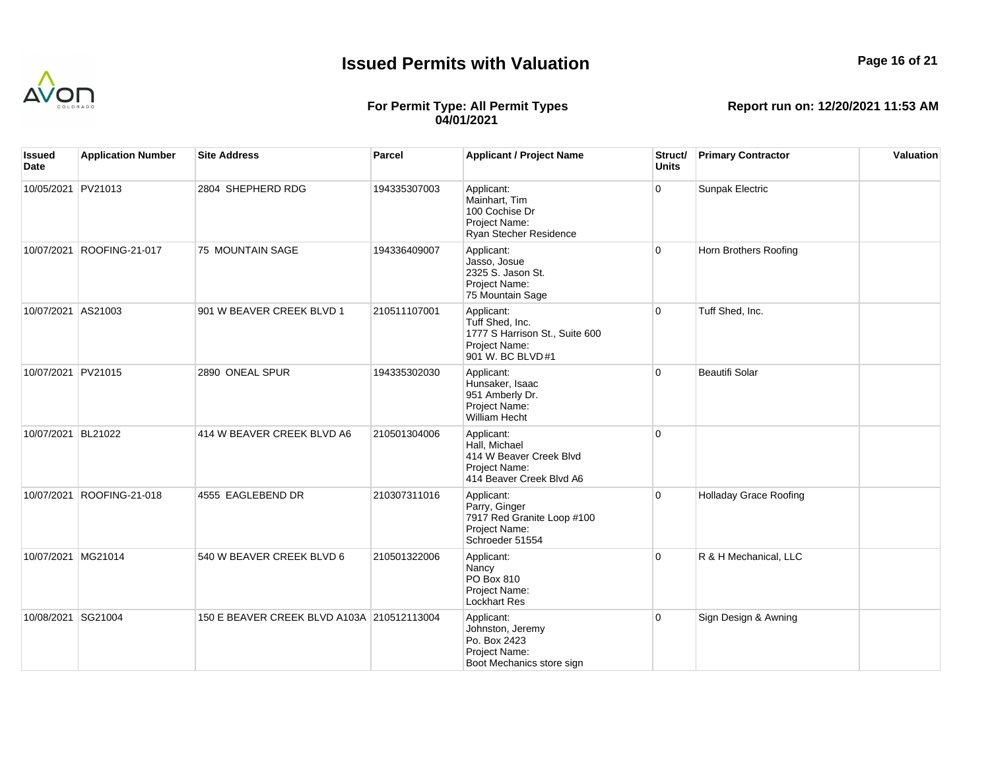

## **Page 16 of 21**

## **For Permit Type: All Permit Types 04/01/2021**

| Issued<br>Date     | <b>Application Number</b> | <b>Site Address</b>                        | <b>Parcel</b> | <b>Applicant / Project Name</b>                                                                      | Struct/<br><b>Units</b> | <b>Primary Contractor</b>     | Valuation |
|--------------------|---------------------------|--------------------------------------------|---------------|------------------------------------------------------------------------------------------------------|-------------------------|-------------------------------|-----------|
| 10/05/2021 PV21013 |                           | 2804 SHEPHERD RDG                          | 194335307003  | Applicant:<br>Mainhart, Tim<br>100 Cochise Dr<br>Project Name:<br>Ryan Stecher Residence             | $\mathbf{0}$            | Sunpak Electric               |           |
| 10/07/2021         | ROOFING-21-017            | 75 MOUNTAIN SAGE                           | 194336409007  | Applicant:<br>Jasso, Josue<br>2325 S. Jason St.<br>Project Name:<br>75 Mountain Sage                 | $\overline{0}$          | Horn Brothers Roofing         |           |
| 10/07/2021 AS21003 |                           | 901 W BEAVER CREEK BLVD 1                  | 210511107001  | Applicant:<br>Tuff Shed, Inc.<br>1777 S Harrison St., Suite 600<br>Project Name:<br>901 W. BC BLVD#1 | $\overline{0}$          | Tuff Shed, Inc.               |           |
| 10/07/2021 PV21015 |                           | 2890 ONEAL SPUR                            | 194335302030  | Applicant:<br>Hunsaker, Isaac<br>951 Amberly Dr.<br>Project Name:<br><b>William Hecht</b>            | $\overline{0}$          | Beautifi Solar                |           |
| 10/07/2021 BL21022 |                           | 414 W BEAVER CREEK BLVD A6                 | 210501304006  | Applicant:<br>Hall. Michael<br>414 W Beaver Creek Blvd<br>Project Name:<br>414 Beaver Creek Blvd A6  | $\Omega$                |                               |           |
|                    | 10/07/2021 ROOFING-21-018 | 4555 EAGLEBEND DR                          | 210307311016  | Applicant:<br>Parry, Ginger<br>7917 Red Granite Loop #100<br>Project Name:<br>Schroeder 51554        | $\Omega$                | <b>Holladay Grace Roofing</b> |           |
| 10/07/2021 MG21014 |                           | 540 W BEAVER CREEK BLVD 6                  | 210501322006  | Applicant:<br>Nancy<br>PO Box 810<br>Project Name:<br><b>Lockhart Res</b>                            | $\Omega$                | R & H Mechanical, LLC         |           |
| 10/08/2021 SG21004 |                           | 150 E BEAVER CREEK BLVD A103A 210512113004 |               | Applicant:<br>Johnston, Jeremy<br>Po. Box 2423<br>Project Name:<br>Boot Mechanics store sign         | $\overline{0}$          | Sign Design & Awning          |           |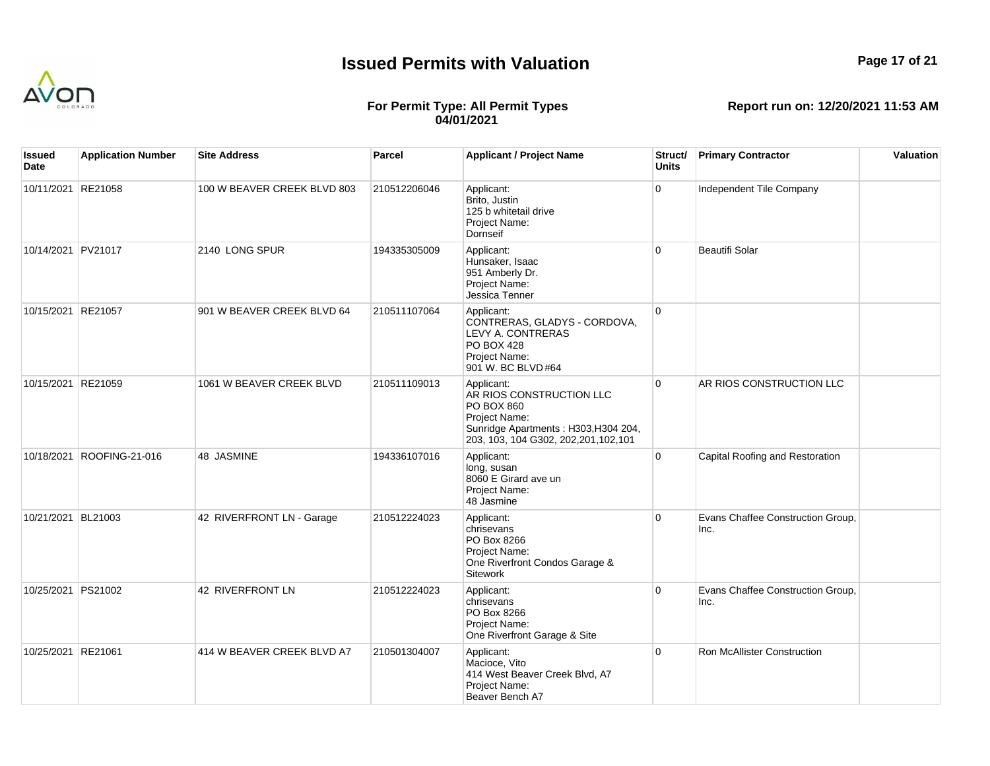

## **Page 17 of 21**

## **For Permit Type: All Permit Types 04/01/2021**

| lssued<br>Date     | <b>Application Number</b> | <b>Site Address</b>         | Parcel       | <b>Applicant / Project Name</b>                                                                                                                                | Struct/<br><b>Units</b> | <b>Primary Contractor</b>                 | Valuation |
|--------------------|---------------------------|-----------------------------|--------------|----------------------------------------------------------------------------------------------------------------------------------------------------------------|-------------------------|-------------------------------------------|-----------|
| 10/11/2021 RE21058 |                           | 100 W BEAVER CREEK BLVD 803 | 210512206046 | Applicant:<br>Brito, Justin<br>125 b whitetail drive<br>Project Name:<br>Dornseif                                                                              | $\overline{0}$          | Independent Tile Company                  |           |
| 10/14/2021 PV21017 |                           | 2140 LONG SPUR              | 194335305009 | Applicant:<br>Hunsaker, Isaac<br>951 Amberly Dr.<br>Project Name:<br>Jessica Tenner                                                                            | $\overline{0}$          | <b>Beautifi Solar</b>                     |           |
| 10/15/2021 RE21057 |                           | 901 W BEAVER CREEK BLVD 64  | 210511107064 | Applicant:<br>CONTRERAS, GLADYS - CORDOVA,<br><b>LEVY A. CONTRERAS</b><br><b>PO BOX 428</b><br>Project Name:<br>901 W. BC BLVD#64                              | $\overline{0}$          |                                           |           |
| 10/15/2021 RE21059 |                           | 1061 W BEAVER CREEK BLVD    | 210511109013 | Applicant:<br>AR RIOS CONSTRUCTION LLC<br><b>PO BOX 860</b><br>Project Name:<br>Sunridge Apartments: H303, H304 204,<br>203, 103, 104 G302, 202, 201, 102, 101 | $\overline{0}$          | AR RIOS CONSTRUCTION LLC                  |           |
|                    | 10/18/2021 ROOFING-21-016 | 48 JASMINE                  | 194336107016 | Applicant:<br>long, susan<br>8060 E Girard ave un<br>Project Name:<br>48 Jasmine                                                                               | $\overline{0}$          | Capital Roofing and Restoration           |           |
| 10/21/2021 BL21003 |                           | 42 RIVERFRONT LN - Garage   | 210512224023 | Applicant:<br>chrisevans<br>PO Box 8266<br>Project Name:<br>One Riverfront Condos Garage &<br>Sitework                                                         | $\overline{0}$          | Evans Chaffee Construction Group,<br>Inc. |           |
| 10/25/2021 PS21002 |                           | 42 RIVERFRONT LN            | 210512224023 | Applicant:<br>chrisevans<br>PO Box 8266<br>Project Name:<br>One Riverfront Garage & Site                                                                       | $\overline{0}$          | Evans Chaffee Construction Group,<br>Inc. |           |
| 10/25/2021 RE21061 |                           | 414 W BEAVER CREEK BLVD A7  | 210501304007 | Applicant:<br>Macioce, Vito<br>414 West Beaver Creek Blvd, A7<br>Project Name:<br>Beaver Bench A7                                                              | $\overline{0}$          | Ron McAllister Construction               |           |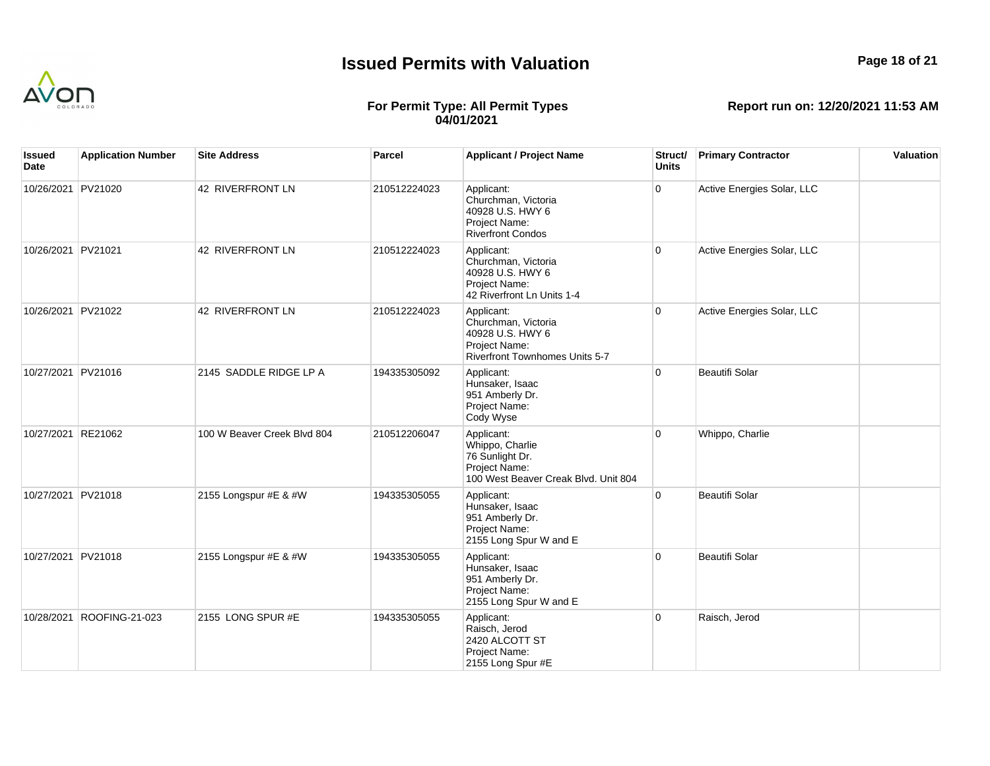

## **Page 18 of 21**

## **For Permit Type: All Permit Types 04/01/2021**

| Issued<br>Date     | <b>Application Number</b> | <b>Site Address</b>         | <b>Parcel</b> | <b>Applicant / Project Name</b>                                                                                 | Struct/<br><b>Units</b> | <b>Primary Contractor</b>  | Valuation |
|--------------------|---------------------------|-----------------------------|---------------|-----------------------------------------------------------------------------------------------------------------|-------------------------|----------------------------|-----------|
| 10/26/2021 PV21020 |                           | 42 RIVERFRONT LN            | 210512224023  | Applicant:<br>Churchman, Victoria<br>40928 U.S. HWY 6<br>Project Name:<br><b>Riverfront Condos</b>              | $\mathbf 0$             | Active Energies Solar, LLC |           |
| 10/26/2021 PV21021 |                           | 42 RIVERFRONT LN            | 210512224023  | Applicant:<br>Churchman, Victoria<br>40928 U.S. HWY 6<br>Project Name:<br>42 Riverfront Ln Units 1-4            | $\overline{0}$          | Active Energies Solar, LLC |           |
| 10/26/2021 PV21022 |                           | 42 RIVERFRONT LN            | 210512224023  | Applicant:<br>Churchman, Victoria<br>40928 U.S. HWY 6<br>Project Name:<br><b>Riverfront Townhomes Units 5-7</b> | $\overline{0}$          | Active Energies Solar, LLC |           |
| 10/27/2021 PV21016 |                           | 2145 SADDLE RIDGE LP A      | 194335305092  | Applicant:<br>Hunsaker, Isaac<br>951 Amberly Dr.<br>Project Name:<br>Cody Wyse                                  | $\mathbf 0$             | Beautifi Solar             |           |
| 10/27/2021 RE21062 |                           | 100 W Beaver Creek Blvd 804 | 210512206047  | Applicant:<br>Whippo, Charlie<br>76 Sunlight Dr.<br>Project Name:<br>100 West Beaver Creak Blvd. Unit 804       | $\Omega$                | Whippo, Charlie            |           |
| 10/27/2021 PV21018 |                           | 2155 Longspur #E & #W       | 194335305055  | Applicant:<br>Hunsaker, Isaac<br>951 Amberly Dr.<br>Project Name:<br>2155 Long Spur W and E                     | $\mathbf{0}$            | Beautifi Solar             |           |
| 10/27/2021 PV21018 |                           | 2155 Longspur #E & #W       | 194335305055  | Applicant:<br>Hunsaker, Isaac<br>951 Amberly Dr.<br>Project Name:<br>2155 Long Spur W and E                     | $\Omega$                | Beautifi Solar             |           |
|                    | 10/28/2021 ROOFING-21-023 | 2155 LONG SPUR #E           | 194335305055  | Applicant:<br>Raisch, Jerod<br>2420 ALCOTT ST<br>Project Name:<br>2155 Long Spur #E                             | $\overline{0}$          | Raisch, Jerod              |           |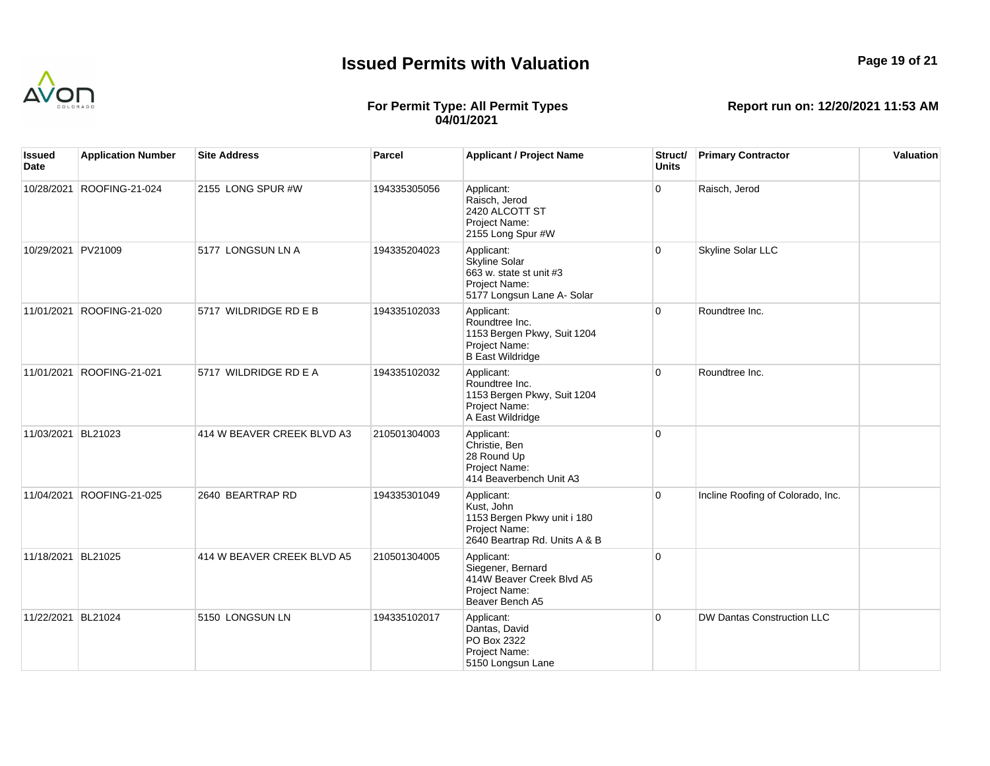

**Page 19 of 21**

#### **For Permit Type: All Permit Types 04/01/2021**

| Issued<br>Date     | <b>Application Number</b> | <b>Site Address</b>        | Parcel       | <b>Applicant / Project Name</b>                                                                              | Struct/<br><b>Units</b> | <b>Primary Contractor</b>         | Valuation |
|--------------------|---------------------------|----------------------------|--------------|--------------------------------------------------------------------------------------------------------------|-------------------------|-----------------------------------|-----------|
| 10/28/2021         | ROOFING-21-024            | 2155 LONG SPUR #W          | 194335305056 | Applicant:<br>Raisch, Jerod<br>2420 ALCOTT ST<br>Project Name:<br>2155 Long Spur #W                          | $\overline{0}$          | Raisch, Jerod                     |           |
| 10/29/2021 PV21009 |                           | 5177 LONGSUN LN A          | 194335204023 | Applicant:<br><b>Skyline Solar</b><br>663 w. state st unit #3<br>Project Name:<br>5177 Longsun Lane A- Solar | $\overline{0}$          | <b>Skyline Solar LLC</b>          |           |
|                    | 11/01/2021 ROOFING-21-020 | 5717 WILDRIDGE RD E B      | 194335102033 | Applicant:<br>Roundtree Inc.<br>1153 Bergen Pkwy, Suit 1204<br>Project Name:<br><b>B East Wildridge</b>      | $\Omega$                | Roundtree Inc.                    |           |
| 11/01/2021         | ROOFING-21-021            | 5717 WILDRIDGE RD E A      | 194335102032 | Applicant:<br>Roundtree Inc.<br>1153 Bergen Pkwy, Suit 1204<br>Project Name:<br>A East Wildridge             | $\overline{0}$          | Roundtree Inc.                    |           |
| 11/03/2021 BL21023 |                           | 414 W BEAVER CREEK BLVD A3 | 210501304003 | Applicant:<br>Christie, Ben<br>28 Round Up<br>Project Name:<br>414 Beaverbench Unit A3                       | $\overline{0}$          |                                   |           |
|                    | 11/04/2021 ROOFING-21-025 | 2640 BEARTRAP RD           | 194335301049 | Applicant:<br>Kust, John<br>1153 Bergen Pkwy unit i 180<br>Project Name:<br>2640 Beartrap Rd. Units A & B    | $\overline{0}$          | Incline Roofing of Colorado, Inc. |           |
| 11/18/2021 BL21025 |                           | 414 W BEAVER CREEK BLVD A5 | 210501304005 | Applicant:<br>Siegener, Bernard<br>414W Beaver Creek Blvd A5<br>Project Name:<br>Beaver Bench A5             | $\overline{0}$          |                                   |           |
| 11/22/2021 BL21024 |                           | 5150 LONGSUN LN            | 194335102017 | Applicant:<br>Dantas, David<br>PO Box 2322<br>Project Name:<br>5150 Longsun Lane                             | $\overline{0}$          | <b>DW Dantas Construction LLC</b> |           |
|                    |                           |                            |              |                                                                                                              |                         |                                   |           |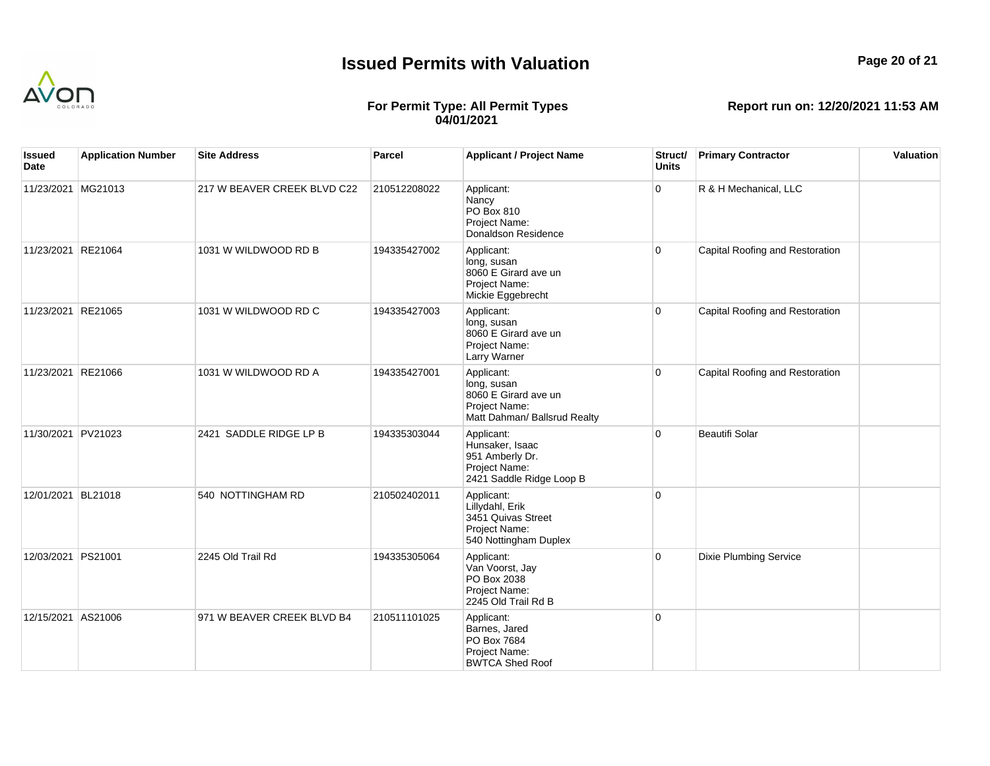

## **Page 20 of 21**

## **For Permit Type: All Permit Types 04/01/2021**

| Issued<br>Date     | <b>Application Number</b> | <b>Site Address</b>         | <b>Parcel</b> | <b>Applicant / Project Name</b>                                                                    | Struct/<br><b>Units</b> | <b>Primary Contractor</b>       | Valuation |
|--------------------|---------------------------|-----------------------------|---------------|----------------------------------------------------------------------------------------------------|-------------------------|---------------------------------|-----------|
| 11/23/2021 MG21013 |                           | 217 W BEAVER CREEK BLVD C22 | 210512208022  | Applicant:<br>Nancy<br>PO Box 810<br>Project Name:<br>Donaldson Residence                          | 0                       | R & H Mechanical, LLC           |           |
| 11/23/2021 RE21064 |                           | 1031 W WILDWOOD RD B        | 194335427002  | Applicant:<br>long, susan<br>8060 E Girard ave un<br>Project Name:<br>Mickie Eggebrecht            | $\overline{0}$          | Capital Roofing and Restoration |           |
| 11/23/2021 RE21065 |                           | 1031 W WILDWOOD RD C        | 194335427003  | Applicant:<br>long, susan<br>8060 E Girard ave un<br>Project Name:<br>Larry Warner                 | $\overline{0}$          | Capital Roofing and Restoration |           |
| 11/23/2021 RE21066 |                           | 1031 W WILDWOOD RD A        | 194335427001  | Applicant:<br>long, susan<br>8060 E Girard ave un<br>Project Name:<br>Matt Dahman/ Ballsrud Realty | 0                       | Capital Roofing and Restoration |           |
| 11/30/2021 PV21023 |                           | 2421 SADDLE RIDGE LP B      | 194335303044  | Applicant:<br>Hunsaker, Isaac<br>951 Amberly Dr.<br>Project Name:<br>2421 Saddle Ridge Loop B      | $\overline{0}$          | <b>Beautifi Solar</b>           |           |
| 12/01/2021 BL21018 |                           | 540 NOTTINGHAM RD           | 210502402011  | Applicant:<br>Lillydahl, Erik<br>3451 Quivas Street<br>Project Name:<br>540 Nottingham Duplex      | $\overline{0}$          |                                 |           |
| 12/03/2021 PS21001 |                           | 2245 Old Trail Rd           | 194335305064  | Applicant:<br>Van Voorst, Jay<br>PO Box 2038<br>Project Name:<br>2245 Old Trail Rd B               | $\overline{0}$          | <b>Dixie Plumbing Service</b>   |           |
| 12/15/2021 AS21006 |                           | 971 W BEAVER CREEK BLVD B4  | 210511101025  | Applicant:<br>Barnes, Jared<br>PO Box 7684<br>Project Name:<br><b>BWTCA Shed Roof</b>              | $\overline{0}$          |                                 |           |